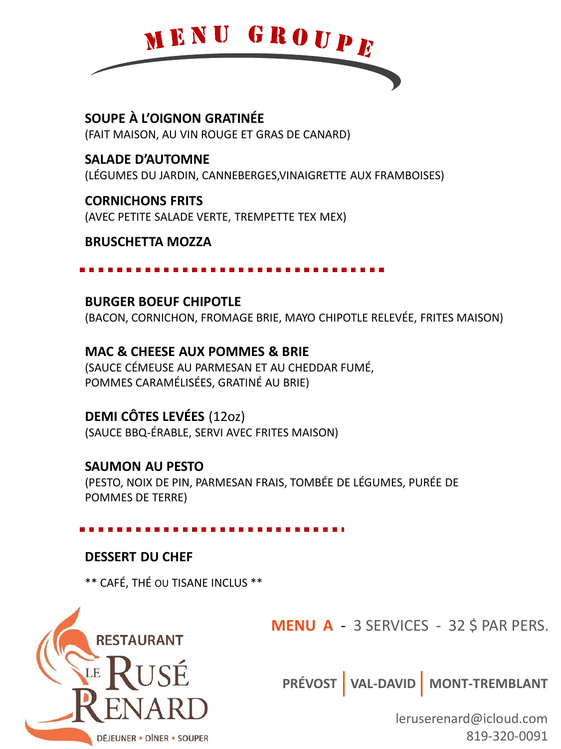

SOUPE À L'OIGNON GRATINÉE (FAIT MAISON, AU VIN ROUGE ET GRAS DE CANARD)

**SALADE D'AUTOMNE** (LÉGUMES DU JARDIN, CANNEBERGES, VINAIGRETTE AUX FRAMBOISES)

**CORNICHONS FRITS** (AVEC PETITE SALADE VERTE, TREMPETTE TEX MEX)

### **BRUSCHETTA MOZZA**

### **BURGER BOEUF CHIPOTLE**

(BACON, CORNICHON, FROMAGE BRIE, MAYO CHIPOTLE RELEVÉE, FRITES MAISON)

**MAC & CHEESE AUX POMMES & BRIE** (SAUCE CÉMEUSE AU PARMESAN ET AU CHEDDAR FUMÉ, POMMES CARAMÉLISÉES, GRATINÉ AU BRIE)

# **DEMI CÔTES LEVÉES (1202)**

(SAUCE BBQ-ÉRABLE, SERVI AVEC FRITES MAISON)

# **SAUMON AU PESTO**

(PESTO, NOIX DE PIN, PARMESAN FRAIS, TOMBÉE DE LÉGUMES, PURÉE DE POMMES DE TERRE)

### **DESSERT DU CHEF**

\*\* CAFÉ, THÉ OU TISANE INCLUS \*\*



**MENU A** - 3 SERVICES - 32 \$ PAR PERS.

PRÉVOST VAL-DAVID MONT-TREMBLANT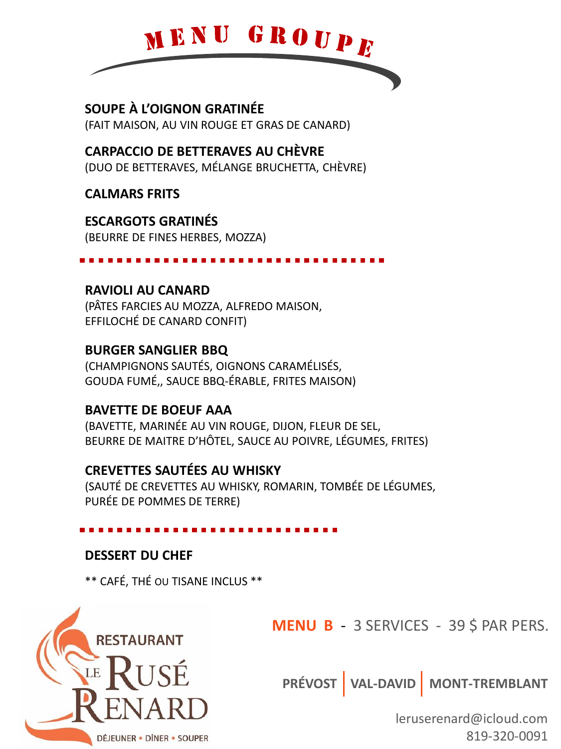

SOUPE À L'OIGNON GRATINÉE (FAIT MAISON, AU VIN ROUGE ET GRAS DE CANARD)

# **CARPACCIO DE BETTERAVES AU CHÈVRE**

(DUO DE BETTERAVES, MÉLANGE BRUCHETTA, CHÈVRE)

**CALMARS FRITS** 

**ESCARGOTS GRATINÉS** 

(BEURRE DE FINES HERBES, MOZZA)

# **RAVIOLI AU CANARD**

(PÂTES FARCIES AU MOZZA, ALFREDO MAISON, EFFILOCHÉ DE CANARD CONFIT)

# **BURGER SANGLIER BBQ**

(CHAMPIGNONS SAUTÉS, OIGNONS CARAMÉLISÉS, GOUDA FUMÉ,, SAUCE BBQ-ÉRABLE, FRITES MAISON)

# **BAVETTE DE BOEUF AAA**

(BAVETTE, MARINÉE AU VIN ROUGE, DIJON, FLEUR DE SEL, BEURRE DE MAITRE D'HÔTEL, SAUCE AU POIVRE, LÉGUMES, FRITES)

# **CREVETTES SAUTÉES AU WHISKY**

(SAUTÉ DE CREVETTES AU WHISKY, ROMARIN, TOMBÉE DE LÉGUMES, PURÉE DE POMMES DE TERRE)

# **DESSERT DU CHEF**

\*\* CAFÉ, THÉ OU TISANE INCLUS \*\*



**MENU B - 3 SERVICES - 39 \$ PAR PERS.** 

PRÉVOST VAL-DAVID MONT-TREMBLANT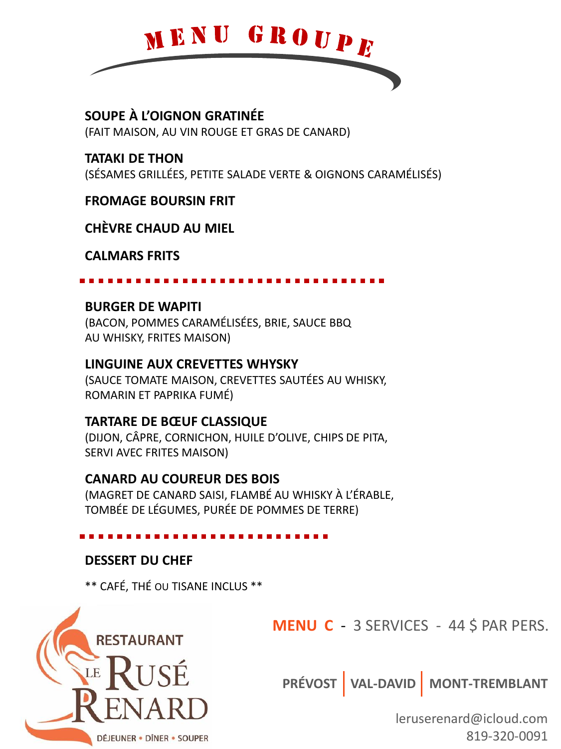

**SOUPE À L'OIGNON GRATINÉE** (FAIT MAISON, AU VIN ROUGE ET GRAS DE CANARD)

**TATAKI DE THON**  (SÉSAMES GRILLÉES, PETITE SALADE VERTE & OIGNONS CARAMÉLISÉS)

**FROMAGE BOURSIN FRIT** 

**CHÈVRE CHAUD AU MIEL** 

**CALMARS FRITS** 

### **BURGER DE WAPITI**

(BACON, POMMES CARAMÉLISÉES, BRIE, SAUCE BBQ AU WHISKY, FRITES MAISON)

### **LINGUINE AUX CREVETTES WHYSKY**

(SAUCE TOMATE MAISON, CREVETTES SAUTÉES AU WHISKY, ROMARIN ET PAPRIKA FUMÉ)

### **TARTARE DE BŒUF CLASSIQUE**

(DIJON, CÂPRE, CORNICHON, HUILE D'OLIVE, CHIPS DE PITA, SERVI AVEC FRITES MAISON)

# **CANARD AU COUREUR DES BOIS**

(MAGRET DE CANARD SAISI, FLAMBÉ AU WHISKY À L'ÉRABLE, TOMBÉE DE LÉGUMES, PURÉE DE POMMES DE TERRE)

# **DESSERT DU CHEF**

\*\* CAFÉ, THÉ OU TISANE INCLUS \*\*



**MENU C** - 3 SERVICES - 44 \$ PAR PERS.

**PRÉVOST VAL-DAVID MONT-TREMBLANT**